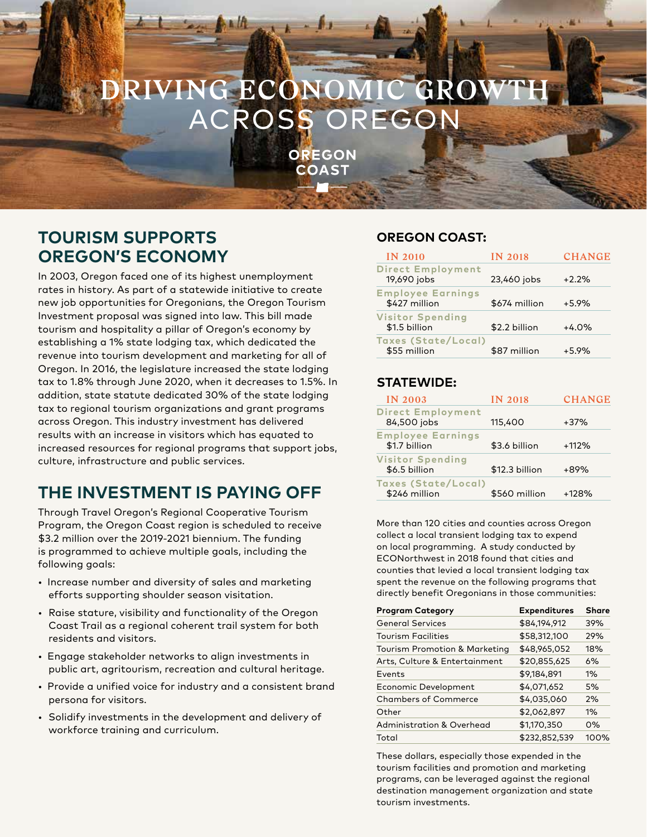# **RIVING ECONOMIC GR** ACROSS OREGON

OREGON **COAST** 

# **TOURISM SUPPORTS OREGON'S ECONOMY**

In 2003, Oregon faced one of its highest unemployment rates in history. As part of a statewide initiative to create new job opportunities for Oregonians, the Oregon Tourism Investment proposal was signed into law. This bill made tourism and hospitality a pillar of Oregon's economy by establishing a 1% state lodging tax, which dedicated the revenue into tourism development and marketing for all of Oregon. In 2016, the legislature increased the state lodging tax to 1.8% through June 2020, when it decreases to 1.5%. In addition, state statute dedicated 30% of the state lodging tax to regional tourism organizations and grant programs across Oregon. This industry investment has delivered results with an increase in visitors which has equated to increased resources for regional programs that support jobs, culture, infrastructure and public services.

# **THE INVESTMENT IS PAYING OFF**

Through Travel Oregon's Regional Cooperative Tourism Program, the Oregon Coast region is scheduled to receive \$3.2 million over the 2019-2021 biennium. The funding is programmed to achieve multiple goals, including the following goals:

- Increase number and diversity of sales and marketing efforts supporting shoulder season visitation.
- Raise stature, visibility and functionality of the Oregon Coast Trail as a regional coherent trail system for both residents and visitors.
- Engage stakeholder networks to align investments in public art, agritourism, recreation and cultural heritage.
- Provide a unified voice for industry and a consistent brand persona for visitors.
- Solidify investments in the development and delivery of workforce training and curriculum.

### **OREGON COAST:**

| <b>IN 2010</b>                             | <b>IN 2018</b> | <b>CHANGE</b> |
|--------------------------------------------|----------------|---------------|
| <b>Direct Employment</b><br>19,690 jobs    | 23,460 jobs    | $+2.2%$       |
| <b>Employee Earnings</b><br>\$427 million  | \$674 million  | $+5.9%$       |
| <b>Visitor Spending</b><br>\$1.5 billion   | \$2.2 billion  | $+4.0%$       |
| <b>Taxes (State/Local)</b><br>\$55 million | \$87 million   | $+5.9%$       |

### **STATEWIDE:**

| IN 2003                                     | <b>IN 2018</b> | <b>CHANGE</b> |
|---------------------------------------------|----------------|---------------|
| <b>Direct Employment</b><br>84,500 jobs     | 115,400        | $+37%$        |
| <b>Employee Earnings</b><br>\$1.7 billion   | \$3.6 billion  | $+112%$       |
| <b>Visitor Spending</b><br>\$6.5 billion    | \$12.3 billion | $+89%$        |
| <b>Taxes (State/Local)</b><br>\$246 million | \$560 million  | $+128%$       |

More than 120 cities and counties across Oregon collect a local transient lodging tax to expend on local programming. A study conducted by ECONorthwest in 2018 found that cities and counties that levied a local transient lodging tax spent the revenue on the following programs that directly benefit Oregonians in those communities:

| <b>Program Category</b>                  | <b>Expenditures</b> | <b>Share</b> |
|------------------------------------------|---------------------|--------------|
| <b>General Services</b>                  | \$84,194,912        | 39%          |
| <b>Tourism Facilities</b>                | \$58,312,100        | 29%          |
| <b>Tourism Promotion &amp; Marketing</b> | \$48,965,052        | 18%          |
| Arts, Culture & Entertainment            | \$20,855,625        | 6%           |
| Events                                   | \$9,184,891         | $1\%$        |
| Economic Development                     | \$4,071,652         | 5%           |
| <b>Chambers of Commerce</b>              | \$4,035,060         | 2%           |
| Other                                    | \$2,062,897         | $1\%$        |
| <b>Administration &amp; Overhead</b>     | \$1,170,350         | $0\%$        |
| Total                                    | \$232,852,539       | 100%         |

These dollars, especially those expended in the tourism facilities and promotion and marketing programs, can be leveraged against the regional destination management organization and state tourism investments.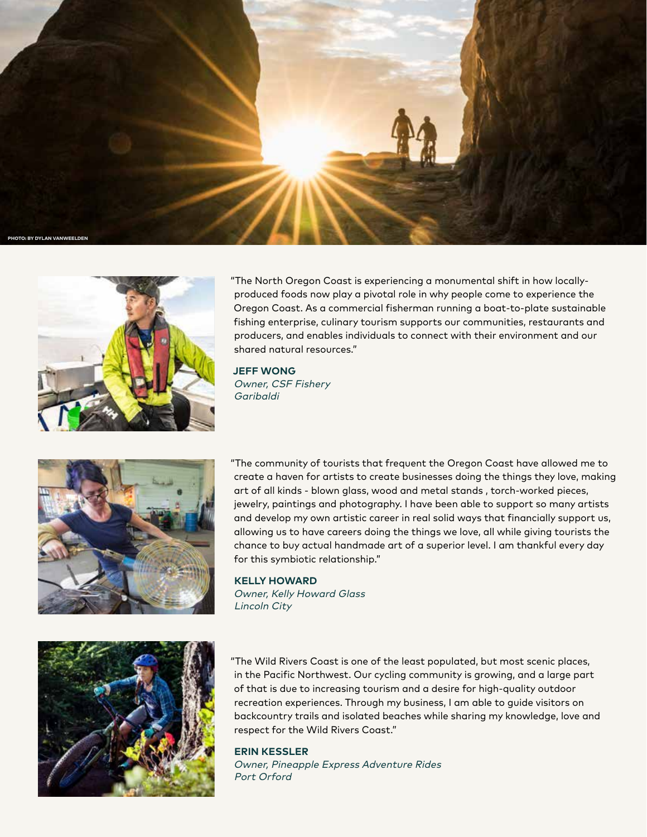



"The North Oregon Coast is experiencing a monumental shift in how locallyproduced foods now play a pivotal role in why people come to experience the Oregon Coast. As a commercial fisherman running a boat-to-plate sustainable fishing enterprise, culinary tourism supports our communities, restaurants and producers, and enables individuals to connect with their environment and our shared natural resources."

**JEFF WONG** Owner, CSF Fishery Garibaldi



"The community of tourists that frequent the Oregon Coast have allowed me to create a haven for artists to create businesses doing the things they love, making art of all kinds - blown glass, wood and metal stands , torch-worked pieces, jewelry, paintings and photography. I have been able to support so many artists and develop my own artistic career in real solid ways that financially support us, allowing us to have careers doing the things we love, all while giving tourists the chance to buy actual handmade art of a superior level. I am thankful every day for this symbiotic relationship."

#### **KELLY HOWARD**

Owner, Kelly Howard Glass Lincoln City



"The Wild Rivers Coast is one of the least populated, but most scenic places, in the Pacific Northwest. Our cycling community is growing, and a large part of that is due to increasing tourism and a desire for high-quality outdoor recreation experiences. Through my business, I am able to guide visitors on backcountry trails and isolated beaches while sharing my knowledge, love and respect for the Wild Rivers Coast."

#### **ERIN KESSLER**

Owner, Pineapple Express Adventure Rides Port Orford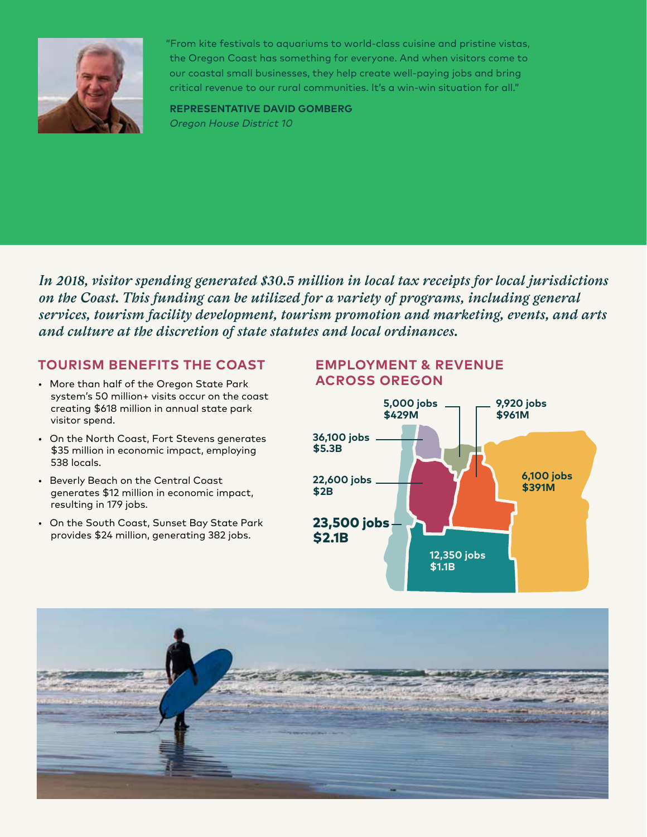

"From kite festivals to aquariums to world-class cuisine and pristine vistas, the Oregon Coast has something for everyone. And when visitors come to our coastal small businesses, they help create well-paying jobs and bring critical revenue to our rural communities. It's a win-win situation for all."

**REPRESENTATIVE DAVID GOMBERG**  Oregon House District 10

*In 2018, visitor spending generated \$30.5 million in local tax receipts for local jurisdictions on the Coast. This funding can be utilized for a variety of programs, including general services, tourism facility development, tourism promotion and marketing, events, and arts and culture at the discretion of state statutes and local ordinances.*

### **TOURISM BENEFITS THE COAST**

- More than half of the Oregon State Park system's 50 million+ visits occur on the coast creating \$618 million in annual state park visitor spend.
- On the North Coast, Fort Stevens generates \$35 million in economic impact, employing 538 locals.
- Beverly Beach on the Central Coast generates \$12 million in economic impact, resulting in 179 jobs.
- On the South Coast, Sunset Bay State Park provides \$24 million, generating 382 jobs.

### **EMPLOYMENT & REVENUE ACROSS OREGON**